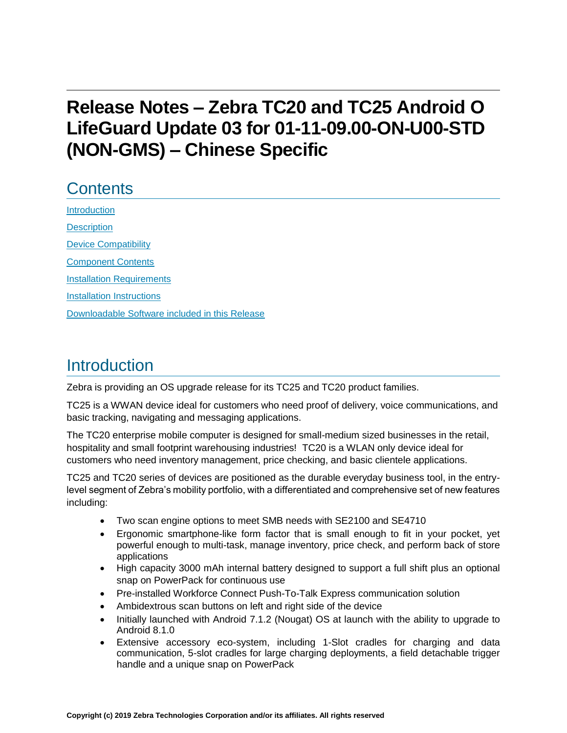# **Release Notes – Zebra TC20 and TC25 Android O LifeGuard Update 03 for 01-11-09.00-ON-U00-STD (NON-GMS) – Chinese Specific**

# **Contents**

[Introduction](#page-0-0) **[Description](#page-0-0)** [Device Compatibility](#page-2-0) [Component Contents](#page-2-1) [Installation Requirements](#page-4-0) [Installation Instructions](#page-4-1) [Downloadable Software included in this Release](#page-6-0) 

## <span id="page-0-0"></span>**Introduction**

Zebra is providing an OS upgrade release for its TC25 and TC20 product families.

TC25 is a WWAN device ideal for customers who need proof of delivery, voice communications, and basic tracking, navigating and messaging applications.

The TC20 enterprise mobile computer is designed for small-medium sized businesses in the retail, hospitality and small footprint warehousing industries! TC20 is a WLAN only device ideal for customers who need inventory management, price checking, and basic clientele applications.

TC25 and TC20 series of devices are positioned as the durable everyday business tool, in the entrylevel segment of Zebra's mobility portfolio, with a differentiated and comprehensive set of new features including:

- Two scan engine options to meet SMB needs with SE2100 and SE4710
- Ergonomic smartphone-like form factor that is small enough to fit in your pocket, yet powerful enough to multi-task, manage inventory, price check, and perform back of store applications
- High capacity 3000 mAh internal battery designed to support a full shift plus an optional snap on PowerPack for continuous use
- Pre-installed Workforce Connect Push-To-Talk Express communication solution
- Ambidextrous scan buttons on left and right side of the device
- Initially launched with Android 7.1.2 (Nougat) OS at launch with the ability to upgrade to Android 8.1.0
- Extensive accessory eco-system, including 1-Slot cradles for charging and data communication, 5-slot cradles for large charging deployments, a field detachable trigger handle and a unique snap on PowerPack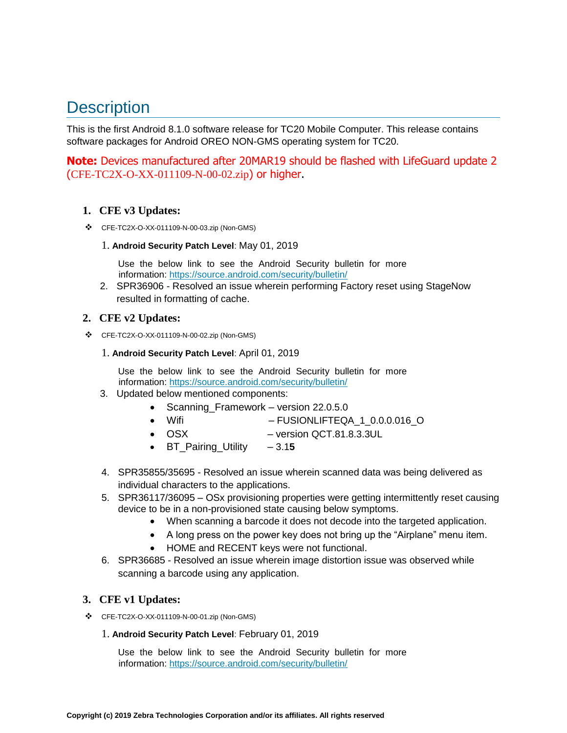# **Description**

This is the first Android 8.1.0 software release for TC20 Mobile Computer. This release contains software packages for Android OREO NON-GMS operating system for TC20.

**Note:** Devices manufactured after 20MAR19 should be flashed with LifeGuard update 2 (CFE-TC2X-O-XX-011109-N-00-02.zip) or higher.

#### **1. CFE v3 Updates:**

❖ CFE-TC2X-O-XX-011109-N-00-03.zip (Non-GMS)

#### 1. **Android Security Patch Level**: May 01, 2019

Use the below link to see the Android Security bulletin for more information:<https://source.android.com/security/bulletin/>

2. SPR36906 - Resolved an issue wherein performing Factory reset using StageNow resulted in formatting of cache.

#### **2. CFE v2 Updates:**

❖ CFE-TC2X-O-XX-011109-N-00-02.zip (Non-GMS)

#### 1. **Android Security Patch Level**: April 01, 2019

Use the below link to see the Android Security bulletin for more information:<https://source.android.com/security/bulletin/>

- 3. Updated below mentioned components:
	- Scanning\_Framework version 22.0.5.0
	- Wifi FUSIONLIFTEQA\_1\_0.0.0.016\_O
	- OSX version QCT.81.8.3.3UL
	- BT Pairing Utility 3.15
- 4. SPR35855/35695 Resolved an issue wherein scanned data was being delivered as individual characters to the applications.
- 5. SPR36117/36095 OSx provisioning properties were getting intermittently reset causing device to be in a non-provisioned state causing below symptoms.
	- When scanning a barcode it does not decode into [the](https://confluence.zebra.com/pages/createpage.action?spaceKey=LIF&title=customer+apps+or+DWDEMO) targeted application.
	- A long press on the power key does not bring up the "Airplane" menu item.
	- HOME and RECENT keys were not functional.
- 6. SPR36685 Resolved an issue wherein image distortion issue was observed while scanning a barcode using any application.

#### **3. CFE v1 Updates:**

❖ CFE-TC2X-O-XX-011109-N-00-01.zip (Non-GMS)

#### 1. **Android Security Patch Level**: February 01, 2019

Use the below link to see the Android Security bulletin for more information:<https://source.android.com/security/bulletin/>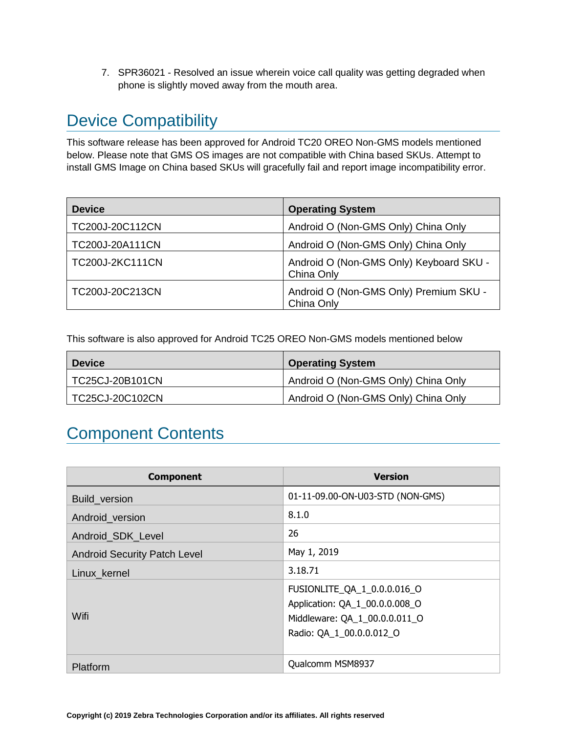7. SPR36021 - Resolved an issue wherein voice call quality was getting degraded when phone is slightly moved away from the mouth area.

# <span id="page-2-0"></span>Device Compatibility

This software release has been approved for Android TC20 OREO Non-GMS models mentioned below. Please note that GMS OS images are not compatible with China based SKUs. Attempt to install GMS Image on China based SKUs will gracefully fail and report image incompatibility error.

| <b>Device</b>   | <b>Operating System</b>                               |
|-----------------|-------------------------------------------------------|
| TC200J-20C112CN | Android O (Non-GMS Only) China Only                   |
| TC200J-20A111CN | Android O (Non-GMS Only) China Only                   |
| TC200J-2KC111CN | Android O (Non-GMS Only) Keyboard SKU -<br>China Only |
| TC200J-20C213CN | Android O (Non-GMS Only) Premium SKU -<br>China Only  |

<span id="page-2-1"></span>This software is also approved for Android TC25 OREO Non-GMS models mentioned below

| <b>Device</b>   | <b>Operating System</b>             |
|-----------------|-------------------------------------|
| TC25CJ-20B101CN | Android O (Non-GMS Only) China Only |
| TC25CJ-20C102CN | Android O (Non-GMS Only) China Only |

# Component Contents

| <b>Component</b>                    | <b>Version</b>                                                                                                             |
|-------------------------------------|----------------------------------------------------------------------------------------------------------------------------|
| Build_version                       | 01-11-09.00-ON-U03-STD (NON-GMS)                                                                                           |
| Android version                     | 8.1.0                                                                                                                      |
| Android_SDK_Level                   | 26                                                                                                                         |
| <b>Android Security Patch Level</b> | May 1, 2019                                                                                                                |
| Linux kernel                        | 3.18.71                                                                                                                    |
| Wifi                                | FUSIONLITE_QA_1_0.0.0.016_O<br>Application: QA_1_00.0.0.008_O<br>Middleware: QA_1_00.0.0.011_O<br>Radio: QA_1_00.0.0.012_O |
| Platform                            | Qualcomm MSM8937                                                                                                           |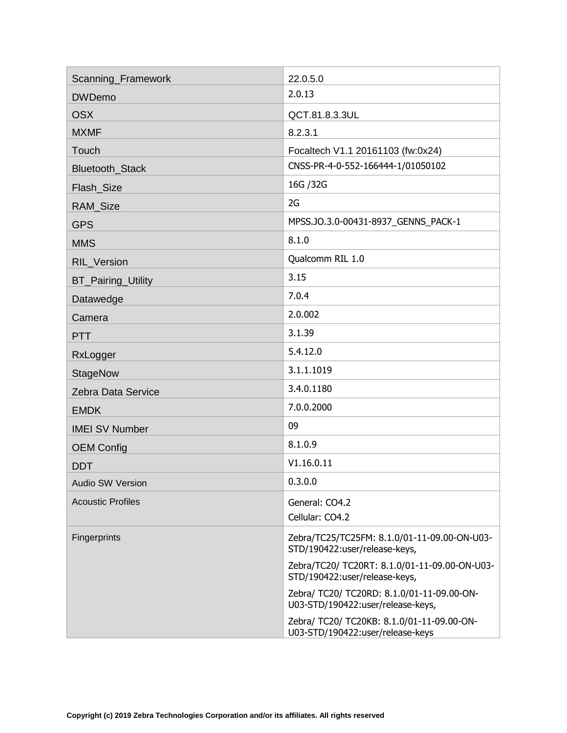| Scanning_Framework        | 22.0.5.0                                                                        |
|---------------------------|---------------------------------------------------------------------------------|
| <b>DWDemo</b>             | 2.0.13                                                                          |
| <b>OSX</b>                | QCT.81.8.3.3UL                                                                  |
| <b>MXMF</b>               | 8.2.3.1                                                                         |
| Touch                     | Focaltech V1.1 20161103 (fw:0x24)                                               |
| Bluetooth_Stack           | CNSS-PR-4-0-552-166444-1/01050102                                               |
| Flash_Size                | 16G / 32G                                                                       |
| RAM_Size                  | 2G                                                                              |
| <b>GPS</b>                | MPSS.JO.3.0-00431-8937_GENNS_PACK-1                                             |
| <b>MMS</b>                | 8.1.0                                                                           |
| RIL_Version               | Qualcomm RIL 1.0                                                                |
| <b>BT_Pairing_Utility</b> | 3.15                                                                            |
| Datawedge                 | 7.0.4                                                                           |
| Camera                    | 2.0.002                                                                         |
| <b>PTT</b>                | 3.1.39                                                                          |
| RxLogger                  | 5.4.12.0                                                                        |
| <b>StageNow</b>           | 3.1.1.1019                                                                      |
| Zebra Data Service        | 3.4.0.1180                                                                      |
| <b>EMDK</b>               | 7.0.0.2000                                                                      |
| <b>IMEI SV Number</b>     | 09                                                                              |
| <b>OEM Config</b>         | 8.1.0.9                                                                         |
| <b>DDT</b>                | V1.16.0.11                                                                      |
| <b>Audio SW Version</b>   | 0.3.0.0                                                                         |
| <b>Acoustic Profiles</b>  | General: CO4.2                                                                  |
|                           | Cellular: CO4.2                                                                 |
| Fingerprints              | Zebra/TC25/TC25FM: 8.1.0/01-11-09.00-ON-U03-<br>STD/190422:user/release-keys,   |
|                           | Zebra/TC20/ TC20RT: 8.1.0/01-11-09.00-ON-U03-<br>STD/190422:user/release-keys,  |
|                           | Zebra/ TC20/ TC20RD: 8.1.0/01-11-09.00-ON-<br>U03-STD/190422:user/release-keys, |
|                           | Zebra/ TC20/ TC20KB: 8.1.0/01-11-09.00-ON-<br>U03-STD/190422:user/release-keys  |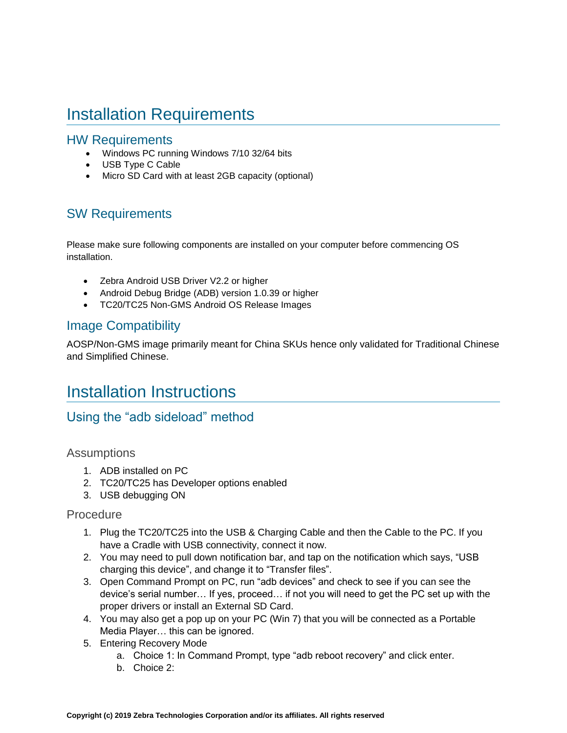# <span id="page-4-0"></span>Installation Requirements

#### HW Requirements

- Windows PC running Windows 7/10 32/64 bits
- USB Type C Cable
- Micro SD Card with at least 2GB capacity (optional)

### SW Requirements

Please make sure following components are installed on your computer before commencing OS installation.

- Zebra Android USB Driver V2.2 or higher
- Android Debug Bridge (ADB) version 1.0.39 or higher
- TC20/TC25 Non-GMS Android OS Release Images

### Image Compatibility

<span id="page-4-1"></span>AOSP/Non-GMS image primarily meant for China SKUs hence only validated for Traditional Chinese and Simplified Chinese.

## Installation Instructions

### Using the "adb sideload" method

#### Assumptions

- 1. ADB installed on PC
- 2. TC20/TC25 has Developer options enabled
- 3. USB debugging ON

#### Procedure

- 1. Plug the TC20/TC25 into the USB & Charging Cable and then the Cable to the PC. If you have a Cradle with USB connectivity, connect it now.
- 2. You may need to pull down notification bar, and tap on the notification which says, "USB charging this device", and change it to "Transfer files".
- 3. Open Command Prompt on PC, run "adb devices" and check to see if you can see the device's serial number… If yes, proceed… if not you will need to get the PC set up with the proper drivers or install an External SD Card.
- 4. You may also get a pop up on your PC (Win 7) that you will be connected as a Portable Media Player… this can be ignored.
- 5. Entering Recovery Mode
	- a. Choice 1: In Command Prompt, type "adb reboot recovery" and click enter.
	- b. Choice 2: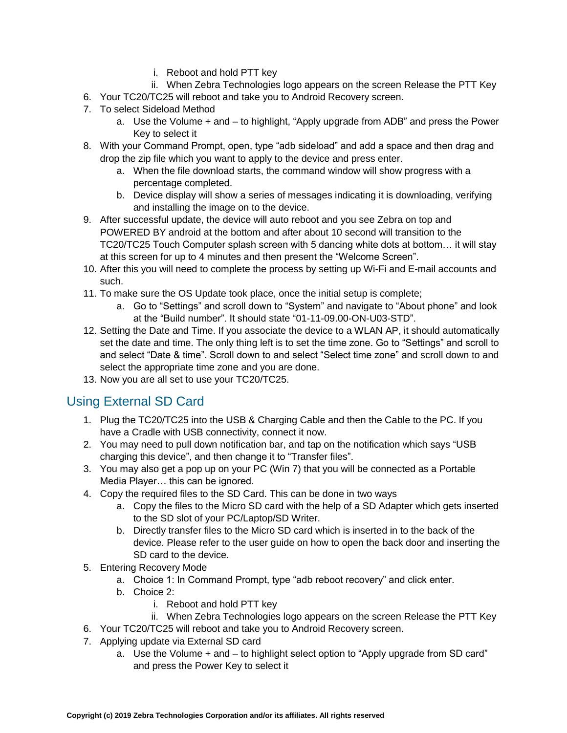- i. Reboot and hold PTT key
- ii. When Zebra Technologies logo appears on the screen Release the PTT Key
- 6. Your TC20/TC25 will reboot and take you to Android Recovery screen.
- 7. To select Sideload Method
	- a. Use the Volume + and to highlight, "Apply upgrade from ADB" and press the Power Key to select it
- 8. With your Command Prompt, open, type "adb sideload" and add a space and then drag and drop the zip file which you want to apply to the device and press enter.
	- a. When the file download starts, the command window will show progress with a percentage completed.
	- b. Device display will show a series of messages indicating it is downloading, verifying and installing the image on to the device.
- 9. After successful update, the device will auto reboot and you see Zebra on top and POWERED BY android at the bottom and after about 10 second will transition to the TC20/TC25 Touch Computer splash screen with 5 dancing white dots at bottom… it will stay at this screen for up to 4 minutes and then present the "Welcome Screen".
- 10. After this you will need to complete the process by setting up Wi-Fi and E-mail accounts and such.
- 11. To make sure the OS Update took place, once the initial setup is complete;
	- a. Go to "Settings" and scroll down to "System" and navigate to "About phone" and look at the "Build number". It should state "01-11-09.00-ON-U03-STD".
- 12. Setting the Date and Time. If you associate the device to a WLAN AP, it should automatically set the date and time. The only thing left is to set the time zone. Go to "Settings" and scroll to and select "Date & time". Scroll down to and select "Select time zone" and scroll down to and select the appropriate time zone and you are done.
- 13. Now you are all set to use your TC20/TC25.

## Using External SD Card

- 1. Plug the TC20/TC25 into the USB & Charging Cable and then the Cable to the PC. If you have a Cradle with USB connectivity, connect it now.
- 2. You may need to pull down notification bar, and tap on the notification which says "USB charging this device", and then change it to "Transfer files".
- 3. You may also get a pop up on your PC (Win 7) that you will be connected as a Portable Media Player… this can be ignored.
- 4. Copy the required files to the SD Card. This can be done in two ways
	- a. Copy the files to the Micro SD card with the help of a SD Adapter which gets inserted to the SD slot of your PC/Laptop/SD Writer.
	- b. Directly transfer files to the Micro SD card which is inserted in to the back of the device. Please refer to the user guide on how to open the back door and inserting the SD card to the device.
- 5. Entering Recovery Mode
	- a. Choice 1: In Command Prompt, type "adb reboot recovery" and click enter.
	- b. Choice 2:
		- i. Reboot and hold PTT key
		- ii. When Zebra Technologies logo appears on the screen Release the PTT Key
- 6. Your TC20/TC25 will reboot and take you to Android Recovery screen.
- 7. Applying update via External SD card
	- a. Use the Volume + and to highlight select option to "Apply upgrade from SD card" and press the Power Key to select it